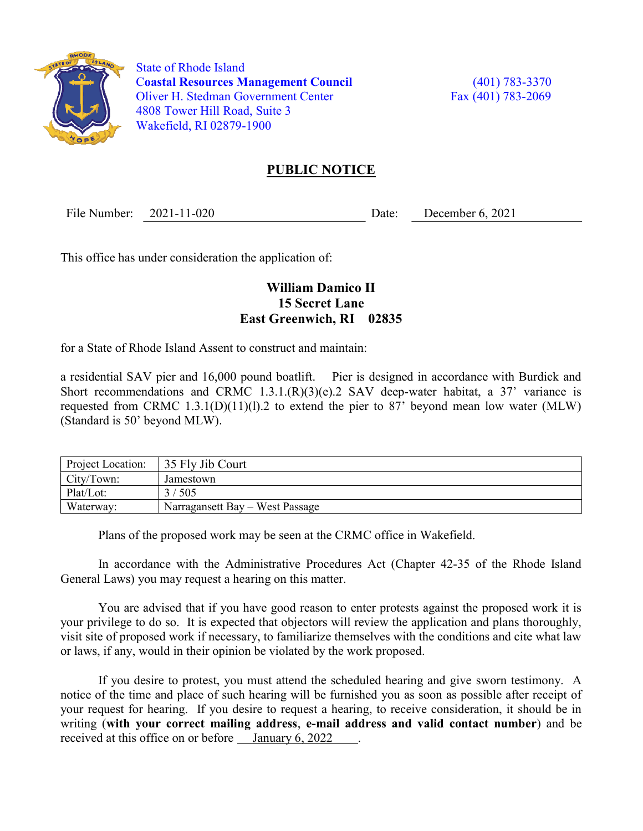

 State of Rhode Island Coastal Resources Management Council (401) 783-3370 Oliver H. Stedman Government Center Fax (401) 783-2069 4808 Tower Hill Road, Suite 3 Wakefield, RI 02879-1900

## PUBLIC NOTICE

File Number: 2021-11-020 Date: December 6, 2021

This office has under consideration the application of:

## William Damico II 15 Secret Lane East Greenwich, RI 02835

for a State of Rhode Island Assent to construct and maintain:

a residential SAV pier and 16,000 pound boatlift. Pier is designed in accordance with Burdick and Short recommendations and CRMC 1.3.1. $(R)(3)(e)$ .2 SAV deep-water habitat, a 37' variance is requested from CRMC 1.3.1(D)(11)(1).2 to extend the pier to 87' beyond mean low water (MLW) (Standard is 50' beyond MLW).

| <b>Project Location:</b> | 35 Fly Jib Court                |
|--------------------------|---------------------------------|
| $\mathsf{City/ Town:}$   | Jamestown                       |
| Plat/Lot:                | 3/505                           |
| Waterway:                | Narragansett Bay – West Passage |

Plans of the proposed work may be seen at the CRMC office in Wakefield.

In accordance with the Administrative Procedures Act (Chapter 42-35 of the Rhode Island General Laws) you may request a hearing on this matter.

You are advised that if you have good reason to enter protests against the proposed work it is your privilege to do so. It is expected that objectors will review the application and plans thoroughly, visit site of proposed work if necessary, to familiarize themselves with the conditions and cite what law or laws, if any, would in their opinion be violated by the work proposed.

If you desire to protest, you must attend the scheduled hearing and give sworn testimony. A notice of the time and place of such hearing will be furnished you as soon as possible after receipt of your request for hearing. If you desire to request a hearing, to receive consideration, it should be in writing (with your correct mailing address, e-mail address and valid contact number) and be received at this office on or before <u>January 6, 2022</u>.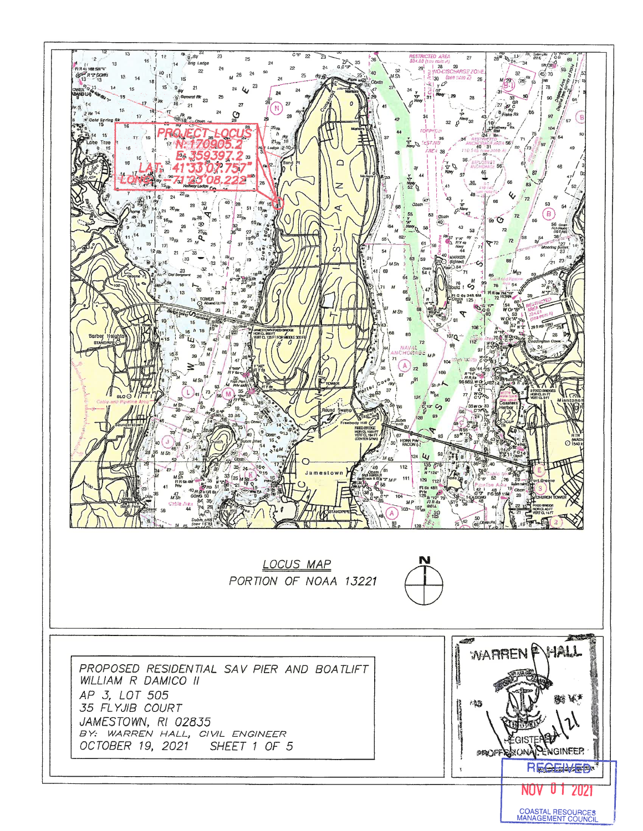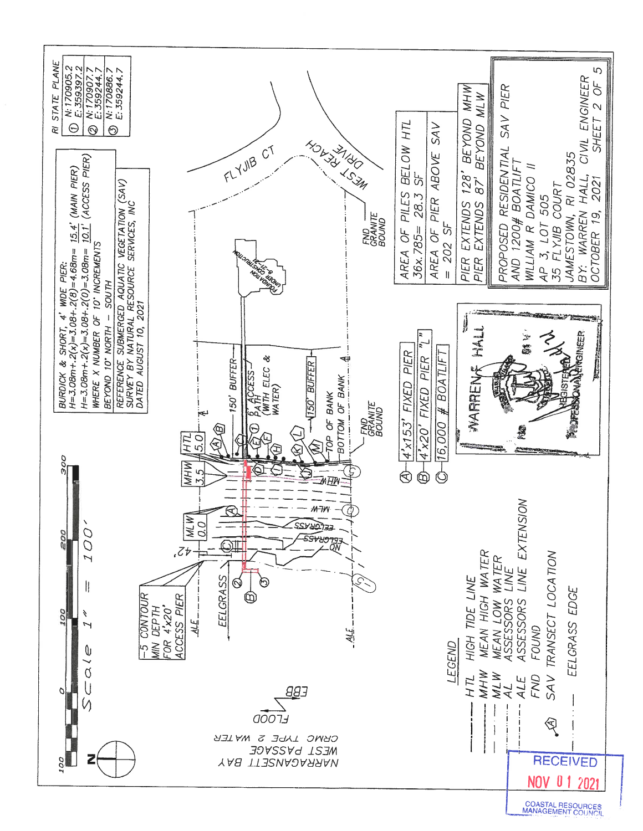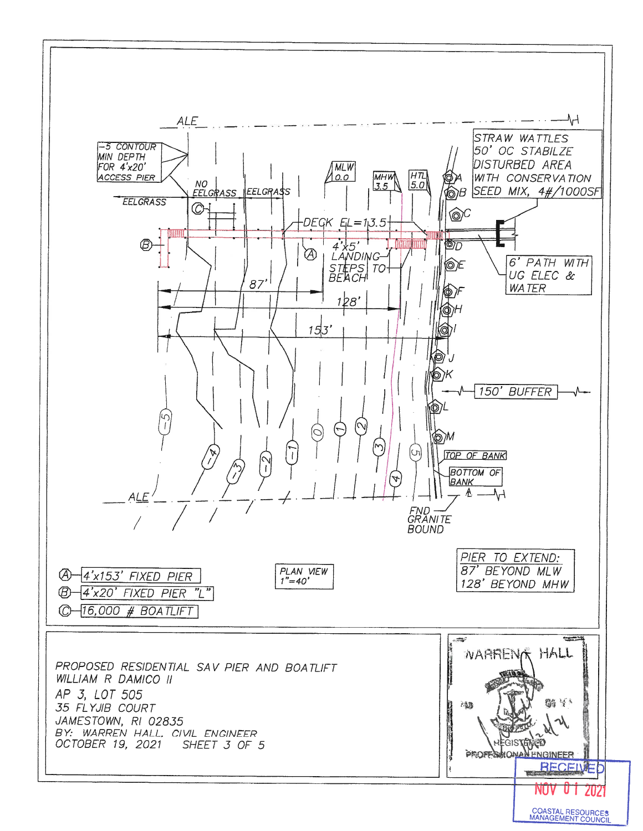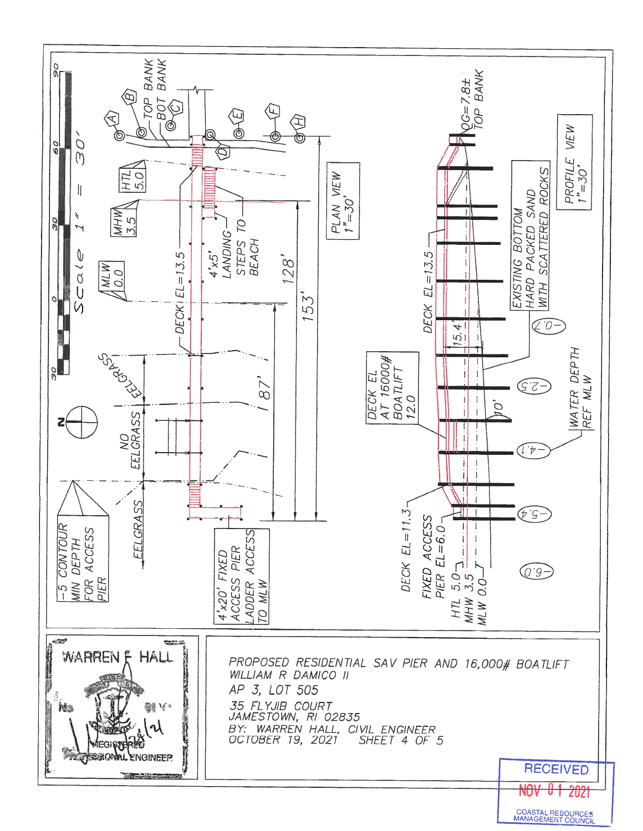